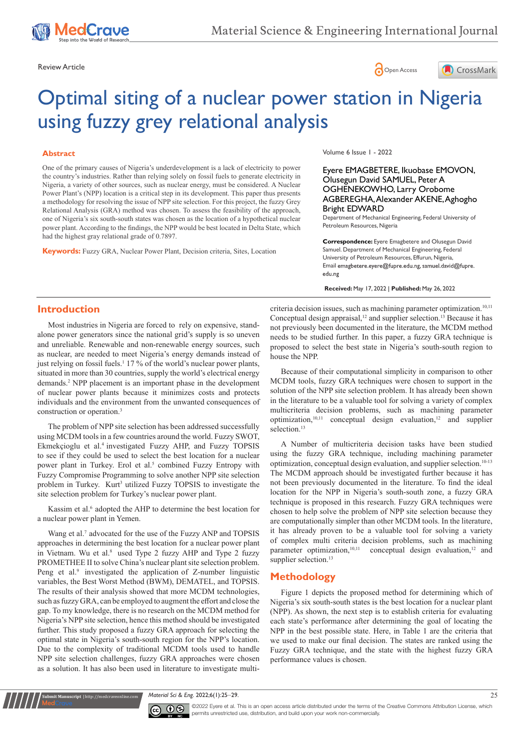





# Optimal siting of a nuclear power station in Nigeria using fuzzy grey relational analysis

## **Abstract**

One of the primary causes of Nigeria's underdevelopment is a lack of electricity to power the country's industries. Rather than relying solely on fossil fuels to generate electricity in Nigeria, a variety of other sources, such as nuclear energy, must be considered. A Nuclear Power Plant's (NPP) location is a critical step in its development. This paper thus presents a methodology for resolving the issue of NPP site selection. For this project, the fuzzy Grey Relational Analysis (GRA) method was chosen. To assess the feasibility of the approach, one of Nigeria's six south-south states was chosen as the location of a hypothetical nuclear power plant. According to the findings, the NPP would be best located in Delta State, which had the highest gray relational grade of 0.7897.

**Keywords:** Fuzzy GRA, Nuclear Power Plant, Decision criteria, Sites, Location

Volume 6 Issue 1 - 2022

Eyere EMAGBETERE, Ikuobase EMOVON, Olusegun David SAMUEL, Peter A OGHENEKOWHO, Larry Orobome AGBEREGHA, Alexander AKENE, Aghogho Bright EDWARD

Department of Mechanical Engineering, Federal University of Petroleum Resources, Nigeria

**Correspondence:** Eyere Emagbetere and Olusegun David Samuel. Department of Mechanical Engineering, Federal University of Petroleum Resources, Effurun, Nigeria, Email emagbetere.eyere@fupre.edu.ng, samuel.david@fupre. edu.ng

**Received:** May 17, 2022 | **Published:** May 26, 2022

# **Introduction**

Most industries in Nigeria are forced to rely on expensive, standalone power generators since the national grid's supply is so uneven and unreliable. Renewable and non-renewable energy sources, such as nuclear, are needed to meet Nigeria's energy demands instead of just relying on fossil fuels.<sup>1</sup> 17 % of the world's nuclear power plants, situated in more than 30 countries, supply the world's electrical energy demands.2 NPP placement is an important phase in the development of nuclear power plants because it minimizes costs and protects individuals and the environment from the unwanted consequences of construction or operation.3

The problem of NPP site selection has been addressed successfully using MCDM tools in a few countries around the world. Fuzzy SWOT, Ekmekçioglu et al. 4 investigated Fuzzy AHP, and Fuzzy TOPSIS to see if they could be used to select the best location for a nuclear power plant in Turkey. Erol et al.<sup>5</sup> combined Fuzzy Entropy with Fuzzy Compromise Programming to solve another NPP site selection problem in Turkey. Kurt<sup>3</sup> utilized Fuzzy TOPSIS to investigate the site selection problem for Turkey's nuclear power plant.

Kassim et al.<sup>6</sup> adopted the AHP to determine the best location for a nuclear power plant in Yemen.

Wang et al.<sup>7</sup> advocated for the use of the Fuzzy ANP and TOPSIS approaches in determining the best location for a nuclear power plant in Vietnam. Wu et al.<sup>8</sup> used Type 2 fuzzy AHP and Type 2 fuzzy PROMETHEE II to solve China's nuclear plant site selection problem. Peng et al.<sup>9</sup> investigated the application of Z-number linguistic variables, the Best Worst Method (BWM), DEMATEL, and TOPSIS. The results of their analysis showed that more MCDM technologies, such as fuzzy GRA, can be employed to augment the effort and close the gap. To my knowledge, there is no research on the MCDM method for Nigeria's NPP site selection, hence this method should be investigated further. This study proposed a fuzzy GRA approach for selecting the optimal state in Nigeria's south-south region for the NPP's location. Due to the complexity of traditional MCDM tools used to handle NPP site selection challenges, fuzzy GRA approaches were chosen as a solution. It has also been used in literature to investigate multicriteria decision issues, such as machining parameter optimization.<sup>10,11</sup> Conceptual design appraisal,<sup>12</sup> and supplier selection.<sup>13</sup> Because it has not previously been documented in the literature, the MCDM method needs to be studied further. In this paper, a fuzzy GRA technique is proposed to select the best state in Nigeria's south-south region to house the NPP.

Because of their computational simplicity in comparison to other MCDM tools, fuzzy GRA techniques were chosen to support in the solution of the NPP site selection problem. It has already been shown in the literature to be a valuable tool for solving a variety of complex multicriteria decision problems, such as machining parameter optimization,<sup>10,11</sup> conceptual design evaluation,<sup>12</sup> and supplier selection.<sup>13</sup>

A Number of multicriteria decision tasks have been studied using the fuzzy GRA technique, including machining parameter optimization, conceptual design evaluation, and supplier selection.10-13 The MCDM approach should be investigated further because it has not been previously documented in the literature. To find the ideal location for the NPP in Nigeria's south-south zone, a fuzzy GRA technique is proposed in this research. Fuzzy GRA techniques were chosen to help solve the problem of NPP site selection because they are computationally simpler than other MCDM tools. In the literature, it has already proven to be a valuable tool for solving a variety of complex multi criteria decision problems, such as machining parameter optimization,<sup>10,11</sup> conceptual design evaluation,<sup>12</sup> and supplier selection.<sup>13</sup>

# **Methodology**

Figure 1 depicts the proposed method for determining which of Nigeria's six south-south states is the best location for a nuclear plant (NPP). As shown, the next step is to establish criteria for evaluating each state's performance after determining the goal of locating the NPP in the best possible state. Here, in Table 1 are the criteria that we used to make our final decision. The states are ranked using the Fuzzy GRA technique, and the state with the highest fuzzy GRA performance values is chosen.

*Material Sci & Eng.* 2022;6(1):25‒29. 25



**it Manuscript** | http://medcraveonline.c

©2022 Eyere et al. This is an open access article distributed under the terms of the Creative Commons Attribution License, which permits unrestricted use, distribution, and build upon your work non-commercially.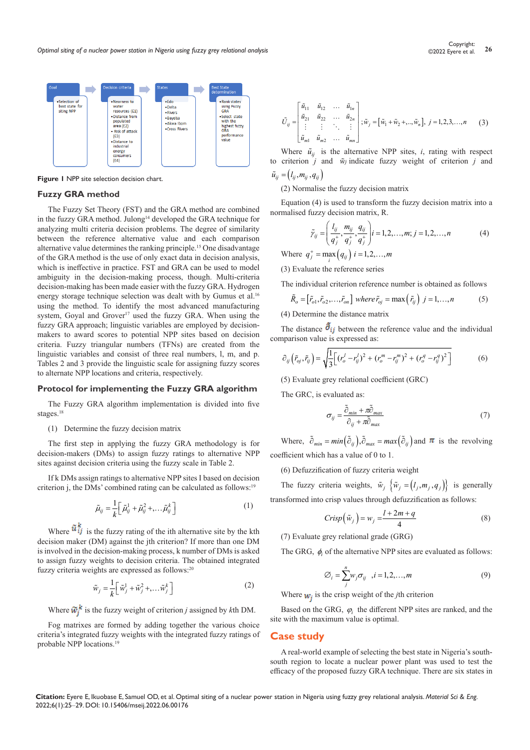

**Figure 1** NPP site selection decision chart.

### **Fuzzy GRA method**

The Fuzzy Set Theory (FST) and the GRA method are combined in the fuzzy GRA method. Julong<sup>14</sup> developed the GRA technique for analyzing multi criteria decision problems. The degree of similarity between the reference alternative value and each comparison alternative value determines the ranking principle.15 One disadvantage of the GRA method is the use of only exact data in decision analysis, which is ineffective in practice. FST and GRA can be used to model ambiguity in the decision-making process, though. Multi-criteria decision-making has been made easier with the fuzzy GRA. Hydrogen energy storage technique selection was dealt with by Gumus et al.<sup>16</sup> using the method. To identify the most advanced manufacturing system, Goyal and Grover<sup>17</sup> used the fuzzy GRA. When using the fuzzy GRA approach; linguistic variables are employed by decisionmakers to award scores to potential NPP sites based on decision criteria. Fuzzy triangular numbers (TFNs) are created from the linguistic variables and consist of three real numbers, l, m, and p. Tables 2 and 3 provide the linguistic scale for assigning fuzzy scores to alternate NPP locations and criteria, respectively.

## **Protocol for implementing the Fuzzy GRA algorithm**

The Fuzzy GRA algorithm implementation is divided into five stages.<sup>18</sup>

(1) Determine the fuzzy decision matrix

The first step in applying the fuzzy GRA methodology is for decision-makers (DMs) to assign fuzzy ratings to alternative NPP sites against decision criteria using the fuzzy scale in Table 2.

If k DMs assign ratings to alternative NPP sites I based on decision criterion j, the DMs' combined rating can be calculated as follows:<sup>19</sup>

$$
\tilde{\mu}_{ij} = \frac{1}{k} \left[ \tilde{\mu}_{ij}^1 + \tilde{\mu}_{ij}^2 + \dots + \tilde{\mu}_{ij}^k \right]
$$
\n(1)

Where  $\tilde{u}_{ij}^{\kappa}$  is the fuzzy rating of the ith alternative site by the kth decision maker (DM) against the jth criterion? If more than one DM is involved in the decision-making process, k number of DMs is asked to assign fuzzy weights to decision criteria. The obtained integrated fuzzy criteria weights are expressed as follows:<sup>20</sup>

$$
\tilde{w}_j = \frac{1}{k} \left[ \tilde{w}_j^1 + \tilde{w}_j^2 + \dots + \tilde{w}_j^k \right] \tag{2}
$$

Where  $\widetilde{w}_i^k$  is the fuzzy weight of criterion *j* assigned by *k*th DM.

Fog matrixes are formed by adding together the various choice criteria's integrated fuzzy weights with the integrated fuzzy ratings of probable NPP locations.<sup>19</sup>

$$
\tilde{U}_{ij} = \begin{bmatrix} \tilde{u}_{11} & \tilde{u}_{12} & \dots & \tilde{u}_{1n} \\ \tilde{u}_{21} & \tilde{u}_{22} & \dots & \tilde{u}_{2n} \\ \vdots & \vdots & \ddots & \vdots \\ \tilde{u}_{m1} & \tilde{u}_{m2} & \dots & \tilde{u}_{mn} \end{bmatrix}; \tilde{w}_j = [\tilde{w}_1 + \tilde{w}_2 + \dots + \tilde{w}_n], j = 1, 2, 3, \dots, n \quad (3)
$$

Where  $\tilde{u}_{ij}$  is the alternative NPP sites, *i*, rating with respect to criterion  $\hat{j}$  and  $\hat{w}_i$  indicate fuzzy weight of criterion  $\hat{j}$  and

$$
\tilde{u}_{ij} = (l_{ij}, m_{ij}, q_{ij})
$$

(2) Normalise the fuzzy decision matrix

Equation (4) is used to transform the fuzzy decision matrix into a normalised fuzzy decision matrix, R.

$$
\tilde{\gamma}_{ij} = \left(\frac{l_{ij}}{q_j^+}, \frac{m_{ij}}{q_j^+}, \frac{q_{ij}}{q_j^+}\right) i = 1, 2, ..., m; j = 1, 2, ..., n \tag{4}
$$

Where  $q_j^+ = \max_i (q_{ij}) \; i = 1, 2, ..., m$ 

(3) Evaluate the reference series

The individual criterion reference number is obtained as follows

$$
\tilde{R}_o = \left[\tilde{r}_{o1}, \tilde{r}_{o2}, \dots, \tilde{r}_{on}\right] \text{ where } \tilde{r}_{oj} = \max\left(\tilde{r}_{ij}\right) \text{ } j = 1, \dots, n \tag{5}
$$

(4) Determine the distance matrix

The distance  $\delta_{ij}$  between the reference value and the individual comparison value is expressed as:

$$
\partial_{ij} \left( \tilde{r}_{oj}, \tilde{r}_{ij} \right) = \sqrt{\frac{1}{3} \Big[ \left( r_o^j - r_{ij}^j \right)^2 + \left( r_o^m - r_{ij}^m \right)^2 + \left( r_o^q - r_{ij}^q \right)^2 \Big]} \tag{6}
$$

(5) Evaluate grey relational coefficient (GRC)

The GRC, is evaluated as:

$$
\sigma_{ij} = \frac{\tilde{\partial}_{min} + \pi \tilde{\partial}_{max}}{\partial_{ij} + \pi \tilde{\partial}_{max}}
$$
(7)

Where,  $\tilde{\partial}_{min} = min(\tilde{\partial}_{ij}), \tilde{\partial}_{max} = max(\tilde{\partial}_{ij})$  and  $\pi$  is the revolving coefficient which has a value of 0 to 1.

(6) Defuzzification of fuzzy criteria weight

The fuzzy criteria weights,  $\tilde{w}_i$   $\{\tilde{w}_i = (l_i, m_i, q_i)\}$  is generally transformed into crisp values through defuzzification as follows:

$$
Crisp\left(\tilde{w}_j\right) = w_j = \frac{l + 2m + q}{4} \tag{8}
$$

(7) Evaluate grey relational grade (GRG)

The GRG, φ*<sup>i</sup>* of the alternative NPP sites are evaluated as follows:

$$
\emptyset_i = \sum_{j}^{n} w_j \sigma_{ij}, \quad i = 1, 2, \dots, m \tag{9}
$$

Where  $w_i$  is the crisp weight of the *j*th criterion

Based on the GRG,  $\varphi_i$  the different NPP sites are ranked, and the site with the maximum value is optimal.

# **Case study**

A real-world example of selecting the best state in Nigeria's southsouth region to locate a nuclear power plant was used to test the efficacy of the proposed fuzzy GRA technique. There are six states in

**Citation:** Eyere E, Ikuobase E, Samuel OD, et al. Optimal siting of a nuclear power station in Nigeria using fuzzy grey relational analysis. *Material Sci & Eng.*  2022;6(1):25‒29. DOI: [10.15406/mseij.2022.06.00176](https://doi.org/10.15406/mseij.2022.06.00176)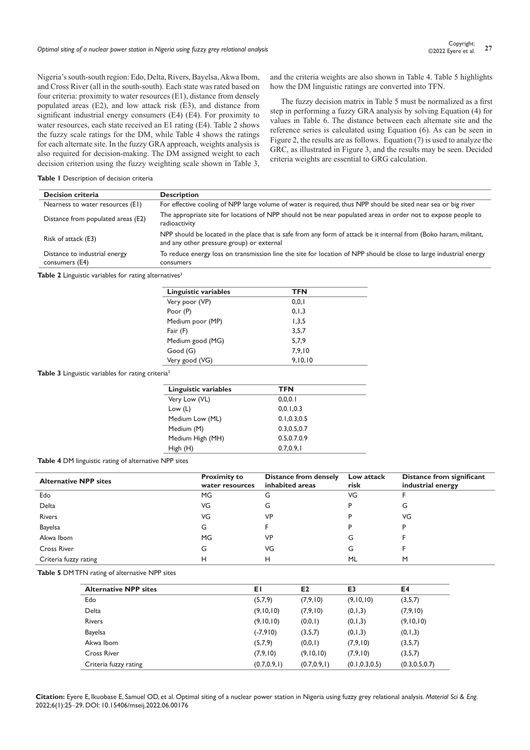Nigeria's south-south region: Edo, Delta, Rivers, Bayelsa, Akwa Ibom, and Cross River (all in the south-south). Each state was rated based on four criteria: proximity to water resources (E1), distance from densely populated areas (E2), and low attack risk (E3), and distance from significant industrial energy consumers (E4) (E4). For proximity to water resources, each state received an E1 rating (E4). Table 2 shows the fuzzy scale ratings for the DM, while Table 4 shows the ratings for each alternate site. In the fuzzy GRA approach, weights analysis is also required for decision-making. The DM assigned weight to each decision criterion using the fuzzy weighting scale shown in Table 3,

and the criteria weights are also shown in Table 4. Table 5 highlights how the DM linguistic ratings are converted into TFN.

The fuzzy decision matrix in Table 5 must be normalized as a first step in performing a fuzzy GRA analysis by solving Equation (4) for values in Table 6. The distance between each alternate site and the reference series is calculated using Equation (6). As can be seen in Figure 2, the results are as follows. Equation (7) is used to analyze the GRC, as illustrated in Figure 3, and the results may be seen. Decided criteria weights are essential to GRG calculation.

#### **Table 1** Description of decision criteria

| <b>Decision criteria</b>                        | <b>Description</b>                                                                                                                                              |
|-------------------------------------------------|-----------------------------------------------------------------------------------------------------------------------------------------------------------------|
| Nearness to water resources (E1)                | For effective cooling of NPP large volume of water is required, thus NPP should be sited near sea or big river                                                  |
| Distance from populated areas (E2)              | The appropriate site for locations of NPP should not be near populated areas in order not to expose people to<br>radioactivity                                  |
| Risk of attack (E3)                             | NPP should be located in the place that is safe from any form of attack be it internal from (Boko haram, militant,<br>and any other pressure group) or external |
| Distance to industrial energy<br>consumers (E4) | To reduce energy loss on transmission line the site for location of NPP should be close to large industrial energy<br>consumers                                 |

Table 2 Linguistic variables for rating alternatives<sup>3</sup>

| Linguistic variables | <b>TFN</b> |  |
|----------------------|------------|--|
| Very poor (VP)       | 0, 0, 1    |  |
| Poor (P)             | 0, 1, 3    |  |
| Medium poor (MP)     | 1,3,5      |  |
| Fair (F)             | 3.5.7      |  |
| Medium good (MG)     | 5,7,9      |  |
| Good (G)             | 7.9.10     |  |
| Very good (VG)       | 9,10,10    |  |

Table 3 Linguistic variables for rating criteria<sup>3</sup>

| Linguistic variables | TFN         |  |
|----------------------|-------------|--|
| Very Low (VL)        | 0.0.0.1     |  |
| Low $(L)$            | 0, 0.1, 0.3 |  |
| Medium Low (ML)      | 0.1.0.3.0.5 |  |
| Medium (M)           | 0.3.0.5.0.7 |  |
| Medium High (MH)     | 0.5.0.7.0.9 |  |
| High(H)              | 0.7.0.9.1   |  |

#### **Table 4** DM linguistic rating of alternative NPP sites

| <b>Alternative NPP sites</b> | <b>Proximity to</b><br>water resources | Distance from densely<br>inhabited areas | Low attack<br>risk | Distance from significant<br>industrial energy |
|------------------------------|----------------------------------------|------------------------------------------|--------------------|------------------------------------------------|
| Edo                          | <b>MG</b>                              | G                                        | VG                 |                                                |
| Delta                        | VG                                     | G                                        |                    | G                                              |
| <b>Rivers</b>                | VG                                     | VP                                       |                    | VG                                             |
| <b>Bayelsa</b>               | G                                      |                                          |                    | P                                              |
| Akwa Ibom                    | <b>MG</b>                              | VP                                       | G                  |                                                |
| <b>Cross River</b>           | G                                      | VG                                       | G                  |                                                |
| Criteria fuzzy rating        | н                                      | н                                        | ML                 | M                                              |

**Table 5** DM TFN rating of alternative NPP sites

| <b>Alternative NPP sites</b> | ΕI            | E <sub>2</sub> | E3              | E4              |
|------------------------------|---------------|----------------|-----------------|-----------------|
| Edo                          | (5,7,9)       | (7,9,10)       | (9,10,10)       | (3,5,7)         |
| Delta                        | (9,10,10)     | (7,9,10)       | (0, 1, 3)       | (7,9,10)        |
| <b>Rivers</b>                | (9,10,10)     | (0,0,1)        | (0, 1, 3)       | (9, 10, 10)     |
| <b>Bayelsa</b>               | $(-7,910)$    | (3,5,7)        | (0, 1, 3)       | (0, 1, 3)       |
| Akwa Ibom                    | (5,7,9)       | (0,0,1)        | (7,9,10)        | (3,5,7)         |
| <b>Cross River</b>           | (7,9,10)      | (9,10,10)      | (7,9,10)        | (3,5,7)         |
| Criteria fuzzy rating        | (0.7, 0.9, 1) | (0.7, 0.9, 1)  | (0.1, 0.3, 0.5) | (0.3, 0.5, 0.7) |

**Citation:** Eyere E, Ikuobase E, Samuel OD, et al. Optimal siting of a nuclear power station in Nigeria using fuzzy grey relational analysis. *Material Sci & Eng.*  2022;6(1):25‒29. DOI: [10.15406/mseij.2022.06.00176](https://doi.org/10.15406/mseij.2022.06.00176)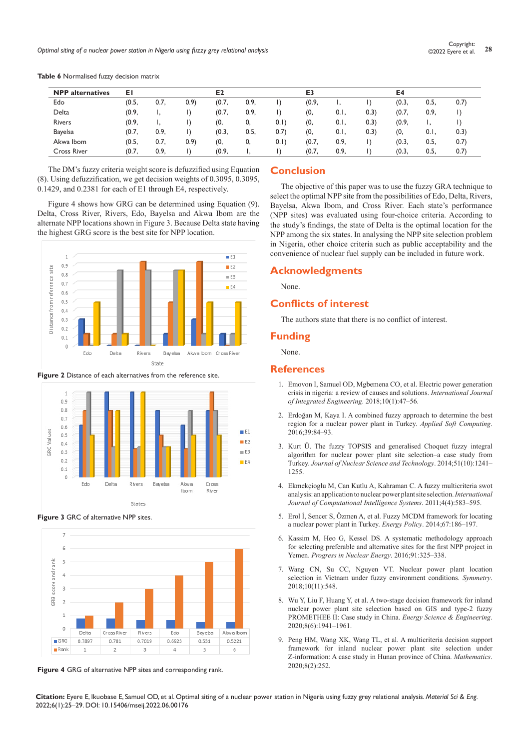| <b>NPP</b> alternatives | ΕI    |      |       | E <sub>2</sub> |      |       |       | E3   |       |       | E4   |       |  |
|-------------------------|-------|------|-------|----------------|------|-------|-------|------|-------|-------|------|-------|--|
| Edo                     | (0.5, | 0.7, | (0.9) | (0.7,          | 0.9. |       | (0.9, |      |       | (0.3, | 0.5, | 0.7)  |  |
| Delta                   | (0.9, |      |       | (0.7,          | 0.9, |       | (0,   | 0.1  | (0.3) | (0.7, | 0.9. |       |  |
| <b>Rivers</b>           | (0.9, | ٠.   |       | (0,            | 0,   | (0,1) | (0,   | 0.1  | (0.3) | (0.9, |      |       |  |
| <b>Bayelsa</b>          | (0.7, | 0.9, |       | (0.3,          | 0.5, | 0.7)  | (0,   | 0.1  | (0.3) | (0,   | 0.1  | (0.3) |  |
| Akwa Ibom               | (0.5, | 0.7, | 0.9)  | (0,            | 0.   | (0,1) | (0.7, | 0.9, |       | (0.3, | 0.5, | 0.7)  |  |
| <b>Cross River</b>      | (0.7, | 0.9, |       | (0.9,          |      |       | (0.7, | 0.9, |       | (0.3, | 0.5, | 0.7)  |  |

**Table 6** Normalised fuzzy decision matrix

The DM's fuzzy criteria weight score is defuzzified using Equation (8). Using defuzzification, we get decision weights of 0.3095, 0.3095, 0.1429, and 0.2381 for each of E1 through E4, respectively.

Figure 4 shows how GRG can be determined using Equation (9). Delta, Cross River, Rivers, Edo, Bayelsa and Akwa Ibom are the alternate NPP locations shown in Figure 3. Because Delta state having the highest GRG score is the best site for NPP location.



**Figure 2** Distance of each alternatives from the reference site.



**Figure 3** GRC of alternative NPP sites.



**Figure 4** GRG of alternative NPP sites and corresponding rank.

# **Conclusion**

The objective of this paper was to use the fuzzy GRA technique to select the optimal NPP site from the possibilities of Edo, Delta, Rivers, Bayelsa, Akwa Ibom, and Cross River. Each state's performance (NPP sites) was evaluated using four-choice criteria. According to the study's findings, the state of Delta is the optimal location for the NPP among the six states. In analysing the NPP site selection problem in Nigeria, other choice criteria such as public acceptability and the convenience of nuclear fuel supply can be included in future work.

## **Acknowledgments**

None.

# **Conflicts of interest**

The authors state that there is no conflict of interest.

## **Funding**

None.

# **References**

- 1. [Emovon I, Samuel OD, Mgbemena CO, et al. Electric power generation](https://www.academia.edu/56184602/Electric_Power_generation_crisis_in_Nigeria_A_Review_of_causes_and_solutions)  [crisis in nigeria: a review of causes and solutions.](https://www.academia.edu/56184602/Electric_Power_generation_crisis_in_Nigeria_A_Review_of_causes_and_solutions) *International Journal [of Integrated Engineering](https://www.academia.edu/56184602/Electric_Power_generation_crisis_in_Nigeria_A_Review_of_causes_and_solutions)*. 2018;10(1):47–56.
- 2. [Erdoğan M, Kaya I. A combined fuzzy approach to determine the best](https://dl.acm.org/doi/abs/10.1016/j.asoc.2015.11.013)  [region for a nuclear power plant in Turkey.](https://dl.acm.org/doi/abs/10.1016/j.asoc.2015.11.013) *Applied Soft Computing*. [2016;39:84–93](https://dl.acm.org/doi/abs/10.1016/j.asoc.2015.11.013).
- 3. [Kurt Ü. The fuzzy TOPSIS and generalised Choquet fuzzy integral](https://www.tandfonline.com/doi/full/10.1080/00223131.2014.918524)  [algorithm for nuclear power plant site selection–a case study from](https://www.tandfonline.com/doi/full/10.1080/00223131.2014.918524)  Turkey. *[Journal of Nuclear Science and Technology](https://www.tandfonline.com/doi/full/10.1080/00223131.2014.918524)*. 2014;51(10):1241– [1255.](https://www.tandfonline.com/doi/full/10.1080/00223131.2014.918524)
- 4. [Ekmekçioglu M, Can Kutlu A, Kahraman C. A fuzzy multicriteria swot](https://www.tandfonline.com/doi/abs/10.1080/18756891.2011.9727814)  [analysis: an application to nuclear power plant site selection.](https://www.tandfonline.com/doi/abs/10.1080/18756891.2011.9727814)*International [Journal of Computational Intelligence Systems](https://www.tandfonline.com/doi/abs/10.1080/18756891.2011.9727814)*. 2011;4(4):583–595.
- 5. [Erol İ, Sencer S, Özmen A, et al. Fuzzy MCDM framework for locating](https://www.sciencedirect.com/science/article/abs/pii/S0301421513011865)  [a nuclear power plant in Turkey.](https://www.sciencedirect.com/science/article/abs/pii/S0301421513011865) *Energy Policy*. 2014;67:186–197.
- 6. [Kassim M, Heo G, Kessel DS. A systematic methodology approach](https://www.sciencedirect.com/science/article/abs/pii/S0149197016301160)  [for selecting preferable and alternative sites for the first NPP project in](https://www.sciencedirect.com/science/article/abs/pii/S0149197016301160)  Yemen. *[Progress in Nuclear Energy](https://www.sciencedirect.com/science/article/abs/pii/S0149197016301160)*. 2016;91:325–338.
- 7. [Wang CN, Su CC, Nguyen VT. Nuclear power plant location](https://www.mdpi.com/2073-8994/10/11/548)  [selection in Vietnam under fuzzy environment conditions.](https://www.mdpi.com/2073-8994/10/11/548) *Symmetry*. [2018;10\(11\):548](https://www.mdpi.com/2073-8994/10/11/548).
- 8. Wu Y, Liu F, Huang Y, et al. A two-stage decision framework for inland [nuclear power plant site selection based on GIS and type‐2 fuzzy](https://onlinelibrary.wiley.com/doi/full/10.1002/ese3.640)  [PROMETHEE II: Case study in China.](https://onlinelibrary.wiley.com/doi/full/10.1002/ese3.640) *Energy Science & Engineering*. [2020;8\(6\):1941–1961](https://onlinelibrary.wiley.com/doi/full/10.1002/ese3.640).
- 9. [Peng HM, Wang XK, Wang TL, et al. A multicriteria decision support](https://www.mdpi.com/2227-7390/8/2/252)  [framework for inland nuclear power plant site selection under](https://www.mdpi.com/2227-7390/8/2/252)  [Z-information: A case study in Hunan province of China.](https://www.mdpi.com/2227-7390/8/2/252) *Mathematics*. [2020;8\(2\):252](https://www.mdpi.com/2227-7390/8/2/252).

**Citation:** Eyere E, Ikuobase E, Samuel OD, et al. Optimal siting of a nuclear power station in Nigeria using fuzzy grey relational analysis. *Material Sci & Eng.*  2022;6(1):25‒29. DOI: [10.15406/mseij.2022.06.00176](https://doi.org/10.15406/mseij.2022.06.00176)